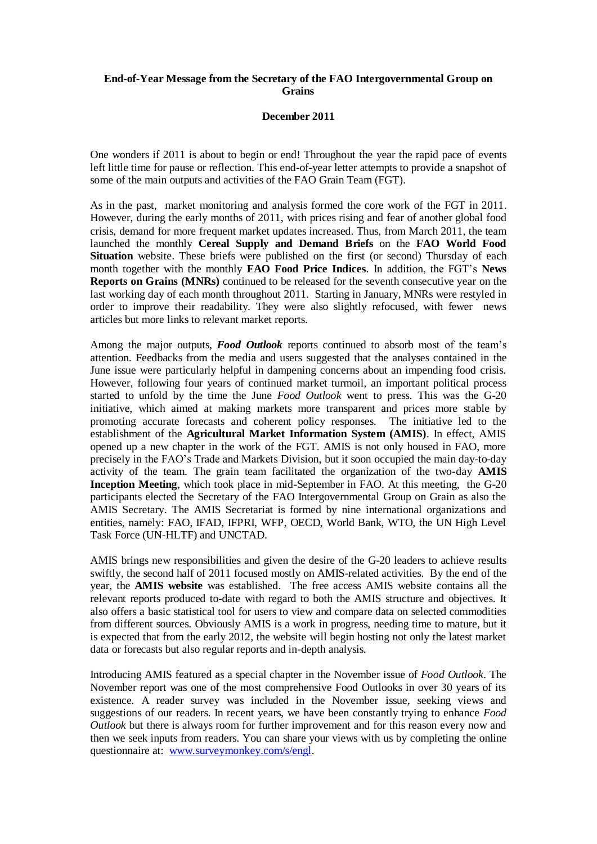# **End-of-Year Message from the Secretary of the FAO Intergovernmental Group on Grains**

## **December 2011**

One wonders if 2011 is about to begin or end! Throughout the year the rapid pace of events left little time for pause or reflection. This end-of-year letter attempts to provide a snapshot of some of the main outputs and activities of the FAO Grain Team (FGT).

As in the past, market monitoring and analysis formed the core work of the FGT in 2011. However, during the early months of 2011, with prices rising and fear of another global food crisis, demand for more frequent market updates increased. Thus, from March 2011, the team launched the monthly **Cereal Supply and Demand Briefs** on the **FAO World Food Situation** website. These briefs were published on the first (or second) Thursday of each month together with the monthly **FAO Food Price Indices**. In addition, the FGT's **News Reports on Grains (MNRs)** continued to be released for the seventh consecutive year on the last working day of each month throughout 2011. Starting in January, MNRs were restyled in order to improve their readability. They were also slightly refocused, with fewer news articles but more links to relevant market reports.

Among the major outputs, *Food Outlook* reports continued to absorb most of the team's attention. Feedbacks from the media and users suggested that the analyses contained in the June issue were particularly helpful in dampening concerns about an impending food crisis. However, following four years of continued market turmoil, an important political process started to unfold by the time the June *Food Outlook* went to press. This was the G-20 initiative, which aimed at making markets more transparent and prices more stable by promoting accurate forecasts and coherent policy responses. The initiative led to the establishment of the **Agricultural Market Information System (AMIS)**. In effect, AMIS opened up a new chapter in the work of the FGT. AMIS is not only housed in FAO, more precisely in the FAO's Trade and Markets Division, but it soon occupied the main day-to-day activity of the team. The grain team facilitated the organization of the two-day **AMIS Inception Meeting**, which took place in mid-September in FAO. At this meeting, the G-20 participants elected the Secretary of the FAO Intergovernmental Group on Grain as also the AMIS Secretary. The AMIS Secretariat is formed by nine international organizations and entities, namely: FAO, IFAD, IFPRI, WFP, OECD, World Bank, WTO, the UN High Level Task Force (UN-HLTF) and UNCTAD.

AMIS brings new responsibilities and given the desire of the G-20 leaders to achieve results swiftly, the second half of 2011 focused mostly on AMIS-related activities. By the end of the year, the **AMIS website** was established. The free access AMIS website contains all the relevant reports produced to-date with regard to both the AMIS structure and objectives. It also offers a basic statistical tool for users to view and compare data on selected commodities from different sources. Obviously AMIS is a work in progress, needing time to mature, but it is expected that from the early 2012, the website will begin hosting not only the latest market data or forecasts but also regular reports and in-depth analysis.

Introducing AMIS featured as a special chapter in the November issue of *Food Outlook*. The November report was one of the most comprehensive Food Outlooks in over 30 years of its existence. A reader survey was included in the November issue, seeking views and suggestions of our readers. In recent years, we have been constantly trying to enhance *Food Outlook* but there is always room for further improvement and for this reason every now and then we seek inputs from readers. You can share your views with us by completing the online questionnaire at: [www.surveymonkey.com/s/engl.](http://www.surveymonkey.com/s/engl)